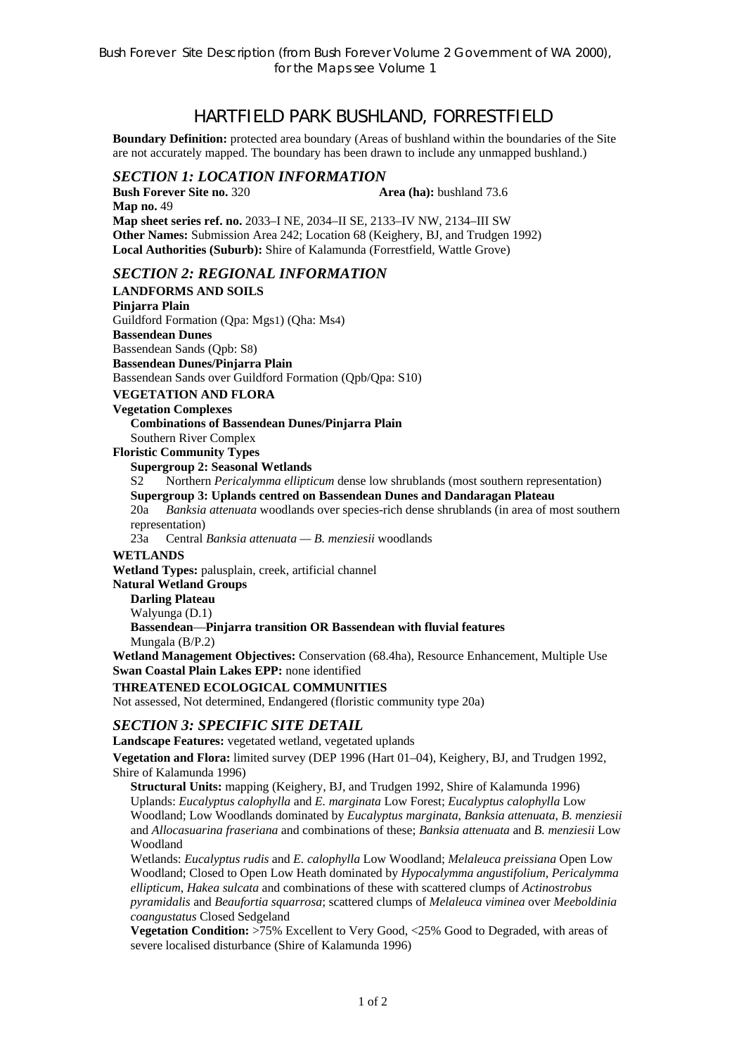# HARTFIELD PARK BUSHLAND, FORRESTFIELD

**Boundary Definition:** protected area boundary (Areas of bushland within the boundaries of the Site are not accurately mapped. The boundary has been drawn to include any unmapped bushland.)

# *SECTION 1: LOCATION INFORMATION*

**Bush Forever Site no. 320 Area (ha):** bushland 73.6 **Map no.** 49 **Map sheet series ref. no.** 2033–I NE, 2034–II SE, 2133–IV NW, 2134–III SW **Other Names:** Submission Area 242; Location 68 (Keighery, BJ, and Trudgen 1992) **Local Authorities (Suburb):** Shire of Kalamunda (Forrestfield, Wattle Grove)

## *SECTION 2: REGIONAL INFORMATION*

**LANDFORMS AND SOILS Pinjarra Plain**  Guildford Formation (Qpa: Mgs1) (Qha: Ms4) **Bassendean Dunes**  Bassendean Sands (Qpb: S8) **Bassendean Dunes/Pinjarra Plain**  Bassendean Sands over Guildford Formation (Qpb/Qpa: S10) **VEGETATION AND FLORA Vegetation Complexes Combinations of Bassendean Dunes/Pinjarra Plain**  Southern River Complex **Floristic Community Types Supergroup 2: Seasonal Wetlands** S2 Northern *Pericalymma ellipticum* dense low shrublands (most southern representation) **Supergroup 3: Uplands centred on Bassendean Dunes and Dandaragan Plateau**  20a *Banksia attenuata* woodlands over species-rich dense shrublands (in area of most southern representation) 23a Central *Banksia attenuata — B. menziesii* woodlands **WETLANDS Wetland Types:** palusplain, creek, artificial channel **Natural Wetland Groups Darling Plateau**  Walyunga (D.1) **Bassendean**—**Pinjarra transition OR Bassendean with fluvial features**  Mungala (B/P.2) **Wetland Management Objectives:** Conservation (68.4ha), Resource Enhancement, Multiple Use **Swan Coastal Plain Lakes EPP:** none identified **THREATENED ECOLOGICAL COMMUNITIES**  Not assessed, Not determined, Endangered (floristic community type 20a)

#### *SECTION 3: SPECIFIC SITE DETAIL*

**Landscape Features:** vegetated wetland, vegetated uplands

**Vegetation and Flora:** limited survey (DEP 1996 (Hart 01–04), Keighery, BJ, and Trudgen 1992, Shire of Kalamunda 1996)

**Structural Units:** mapping (Keighery, BJ, and Trudgen 1992, Shire of Kalamunda 1996) Uplands: *Eucalyptus calophylla* and *E. marginata* Low Forest; *Eucalyptus calophylla* Low Woodland; Low Woodlands dominated by *Eucalyptus marginata*, *Banksia attenuata*, *B. menziesii* and *Allocasuarina fraseriana* and combinations of these; *Banksia attenuata* and *B. menziesii* Low Woodland

Wetlands: *Eucalyptus rudis* and *E. calophylla* Low Woodland; *Melaleuca preissiana* Open Low Woodland; Closed to Open Low Heath dominated by *Hypocalymma angustifolium*, *Pericalymma ellipticum*, *Hakea sulcata* and combinations of these with scattered clumps of *Actinostrobus pyramidalis* and *Beaufortia squarrosa*; scattered clumps of *Melaleuca viminea* over *Meeboldinia coangustatus* Closed Sedgeland

**Vegetation Condition:** >75% Excellent to Very Good, <25% Good to Degraded, with areas of severe localised disturbance (Shire of Kalamunda 1996)